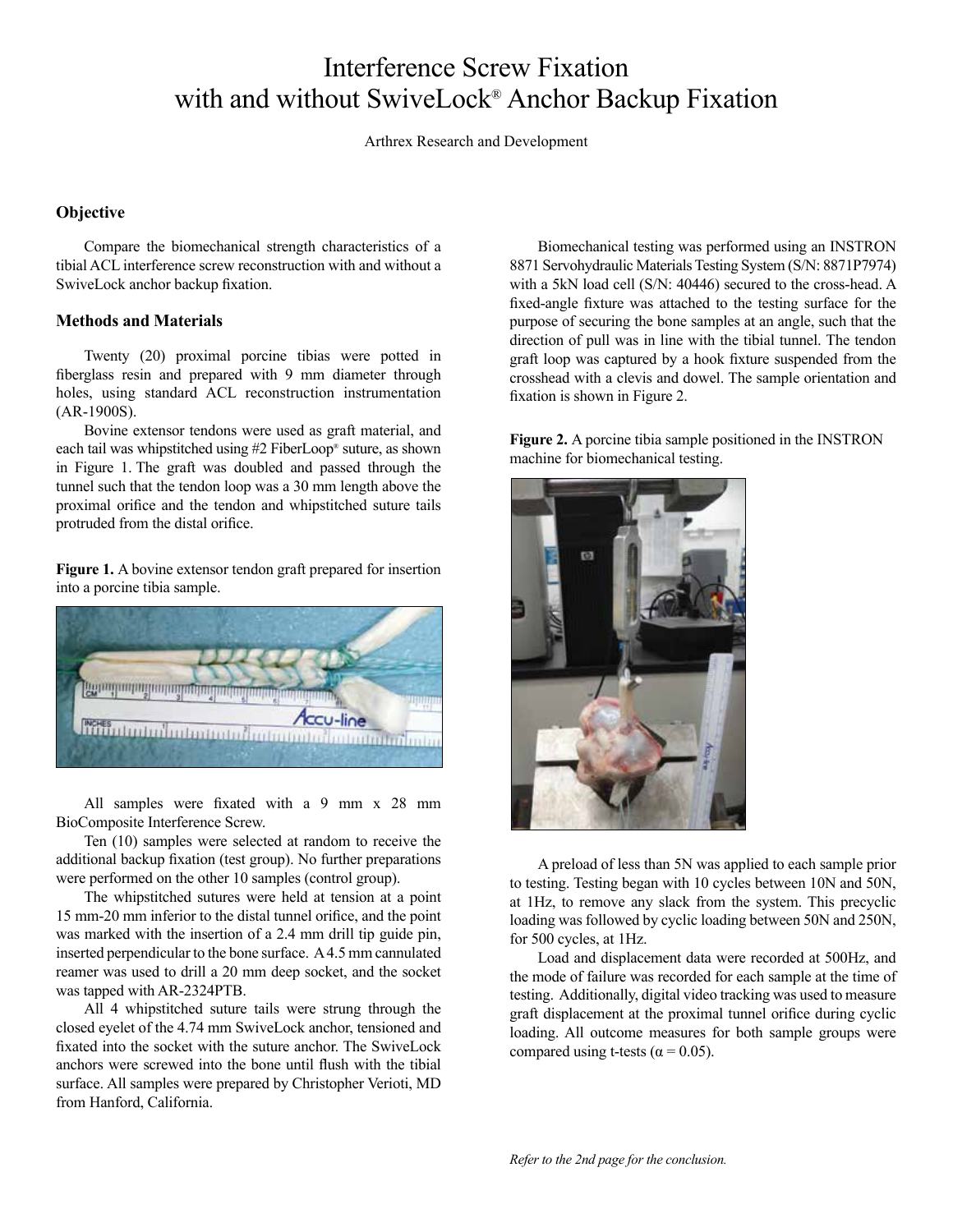## Interference Screw Fixation with and without SwiveLock® Anchor Backup Fixation

Arthrex Research and Development

## **Objective**

Compare the biomechanical strength characteristics of a tibial ACL interference screw reconstruction with and without a SwiveLock anchor backup fixation.

## **Methods and Materials**

Twenty (20) proximal porcine tibias were potted in fiberglass resin and prepared with 9 mm diameter through holes, using standard ACL reconstruction instrumentation (AR-1900S).

Bovine extensor tendons were used as graft material, and each tail was whipstitched using #2 FiberLoop® suture, as shown in Figure 1. The graft was doubled and passed through the tunnel such that the tendon loop was a 30 mm length above the proximal orifice and the tendon and whipstitched suture tails protruded from the distal orifice.

**Figure 1.** A bovine extensor tendon graft prepared for insertion into a porcine tibia sample.



All samples were fixated with a 9 mm x 28 mm BioComposite Interference Screw.

Ten (10) samples were selected at random to receive the additional backup fixation (test group). No further preparations were performed on the other 10 samples (control group).

The whipstitched sutures were held at tension at a point 15 mm-20 mm inferior to the distal tunnel orifice, and the point was marked with the insertion of a 2.4 mm drill tip guide pin, inserted perpendicular to the bone surface. A 4.5 mm cannulated reamer was used to drill a 20 mm deep socket, and the socket was tapped with AR-2324PTB.

All 4 whipstitched suture tails were strung through the closed eyelet of the 4.74 mm SwiveLock anchor, tensioned and fixated into the socket with the suture anchor. The SwiveLock anchors were screwed into the bone until flush with the tibial surface. All samples were prepared by Christopher Verioti, MD from Hanford, California.

Biomechanical testing was performed using an INSTRON 8871 Servohydraulic Materials Testing System (S/N: 8871P7974) with a 5kN load cell (S/N: 40446) secured to the cross-head. A fixed-angle fixture was attached to the testing surface for the purpose of securing the bone samples at an angle, such that the direction of pull was in line with the tibial tunnel. The tendon graft loop was captured by a hook fixture suspended from the crosshead with a clevis and dowel. The sample orientation and fixation is shown in Figure 2.

**Figure 2.** A porcine tibia sample positioned in the INSTRON machine for biomechanical testing.



A preload of less than 5N was applied to each sample prior to testing. Testing began with 10 cycles between 10N and 50N, at 1Hz, to remove any slack from the system. This precyclic loading was followed by cyclic loading between 50N and 250N, for 500 cycles, at 1Hz.

Load and displacement data were recorded at 500Hz, and the mode of failure was recorded for each sample at the time of testing. Additionally, digital video tracking was used to measure graft displacement at the proximal tunnel orifice during cyclic loading. All outcome measures for both sample groups were compared using t-tests ( $\alpha$  = 0.05).